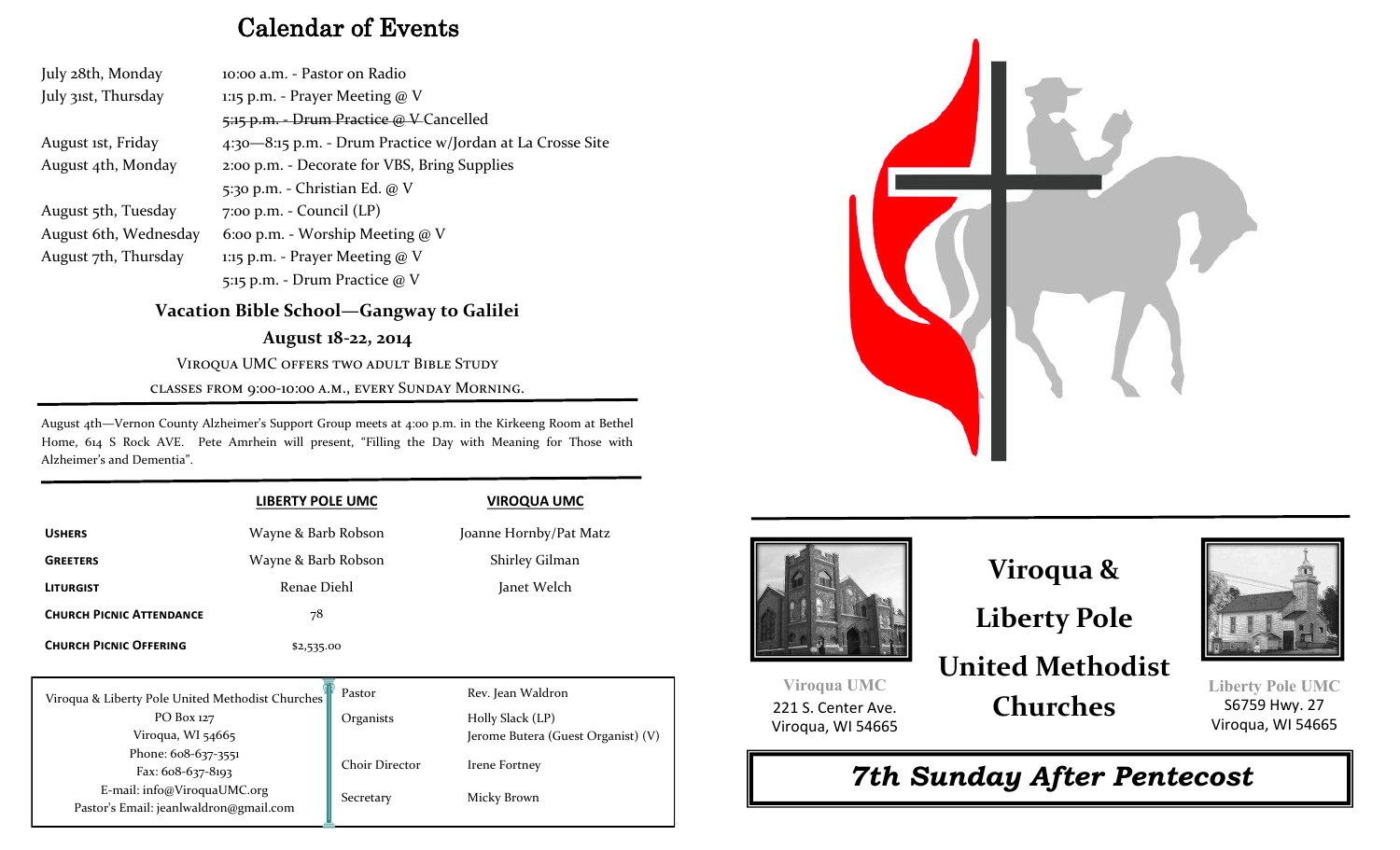## Calendar of Events

July 28th, Monday 10:00 a.m. - Pastor on Radio July 31st, Thursday 1:15 p.m. - Prayer Meeting @ V 5:15 p.m. - Drum Practice @ V Cancelled August 1st, Friday 4:30—8:15 p.m. - Drum Practice w/Jordan at La Crosse Site August 4th, Monday 2:00 p.m. - Decorate for VBS, Bring Supplies 5:30 p.m. - Christian Ed. @ V August 5th, Tuesday 7:00 p.m. - Council (LP) August 6th, Wednesday 6:00 p.m. - Worship Meeting @ V August 7th, Thursday 1:15 p.m. - Prayer Meeting @ V 5:15 p.m. - Drum Practice @ V

## **Vacation Bible School—Gangway to Galilei**

**August 18-22, 2014** Viroqua UMC offers two adult Bible Study

classes from 9:00-10:00 a.m., every Sunday Morning.

August 4th—Vernon County Alzheimer's Support Group meets at 4:00 p.m. in the Kirkeeng Room at Bethel Home, 614 S Rock AVE. Pete Amrhein will present, "Filling the Day with Meaning for Those with Alzheimer's and Dementia".

|                                 | <b>LIBERTY POLE UMC</b> | <b>VIROQUA UMC</b>     |
|---------------------------------|-------------------------|------------------------|
| <b>USHERS</b>                   | Wayne & Barb Robson     | Joanne Hornby/Pat Matz |
| <b>GREETERS</b>                 | Wayne & Barb Robson     | Shirley Gilman         |
| <b>LITURGIST</b>                | Renae Diehl             | Janet Welch            |
| <b>CHURCH PICNIC ATTENDANCE</b> | 78                      |                        |
| <b>CHURCH PICNIC OFFERING</b>   | \$2,535.00              |                        |

| Viroqua & Liberty Pole United Methodist Churches | Pastor                          | Rev. Jean Waldron                  |
|--------------------------------------------------|---------------------------------|------------------------------------|
| PO Box 127                                       | Organists                       | Holly Slack (LP)                   |
| Viroqua, WI 54665                                |                                 | Jerome Butera (Guest Organist) (V) |
| Phone: 608-637-3551                              |                                 |                                    |
| Fax: $608-637-8193$                              | Choir Director<br>Irene Fortney |                                    |
| E-mail: info@ViroquaUMC.org                      | Secretary                       | Micky Brown                        |
| Pastor's Email: jeanlwaldron@gmail.com           |                                 |                                    |
|                                                  |                                 |                                    |





## **Viroqua &**

**Liberty Pole**

## **United Methodist Churches**

221 S. Center Ave. Viroqua, WI 54665

**Viroqua UMC**





**Liberty Pole UMC**  S6759 Hwy. 27 Viroqua, WI 54665